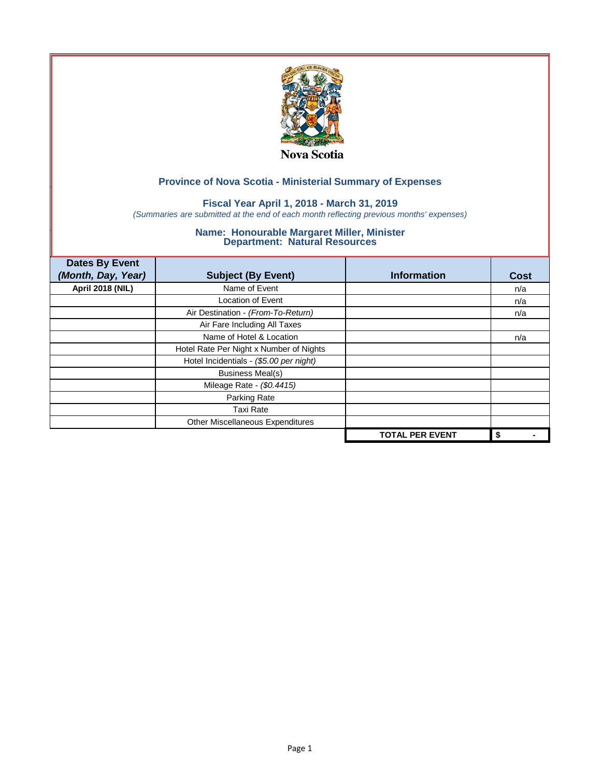

# **Fiscal Year April 1, 2018 - March 31, 2019**

*(Summaries are submitted at the end of each month reflecting previous months' expenses)*

| <b>Dates By Event</b>   |                                         |                        |             |
|-------------------------|-----------------------------------------|------------------------|-------------|
| (Month, Day, Year)      | <b>Subject (By Event)</b>               | <b>Information</b>     | <b>Cost</b> |
| <b>April 2018 (NIL)</b> | Name of Event                           |                        | n/a         |
|                         | Location of Event                       |                        | n/a         |
|                         | Air Destination - (From-To-Return)      |                        | n/a         |
|                         | Air Fare Including All Taxes            |                        |             |
|                         | Name of Hotel & Location                |                        | n/a         |
|                         | Hotel Rate Per Night x Number of Nights |                        |             |
|                         | Hotel Incidentials - (\$5.00 per night) |                        |             |
|                         | <b>Business Meal(s)</b>                 |                        |             |
|                         | Mileage Rate - (\$0.4415)               |                        |             |
|                         | Parking Rate                            |                        |             |
|                         | <b>Taxi Rate</b>                        |                        |             |
|                         | Other Miscellaneous Expenditures        |                        |             |
|                         |                                         | <b>TOTAL PER EVENT</b> | \$          |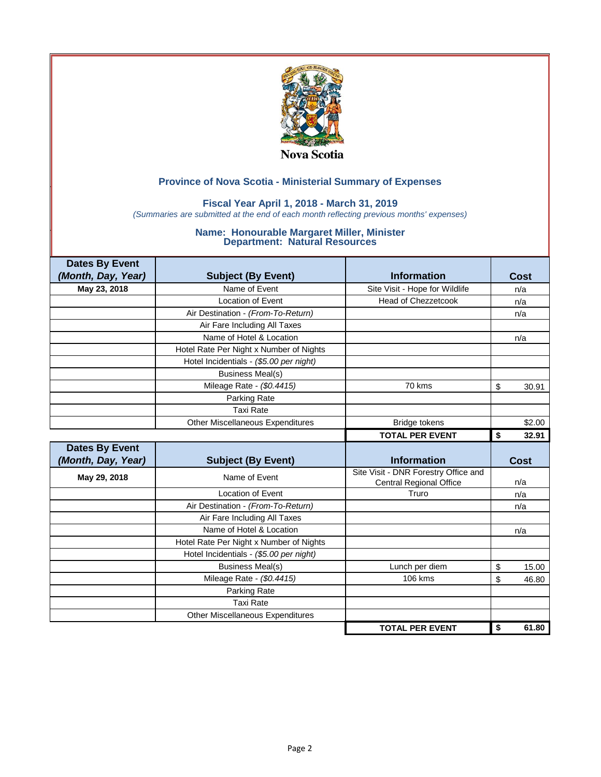

# **Fiscal Year April 1, 2018 - March 31, 2019**

*(Summaries are submitted at the end of each month reflecting previous months' expenses)*

| <b>Dates By Event</b> |                                         |                                                                        |             |
|-----------------------|-----------------------------------------|------------------------------------------------------------------------|-------------|
| (Month, Day, Year)    | <b>Subject (By Event)</b>               | <b>Information</b>                                                     | Cost        |
| May 23, 2018          | Name of Event                           | Site Visit - Hope for Wildlife                                         | n/a         |
|                       | <b>Location of Event</b>                | <b>Head of Chezzetcook</b>                                             | n/a         |
|                       | Air Destination - (From-To-Return)      |                                                                        | n/a         |
|                       | Air Fare Including All Taxes            |                                                                        |             |
|                       | Name of Hotel & Location                |                                                                        | n/a         |
|                       | Hotel Rate Per Night x Number of Nights |                                                                        |             |
|                       | Hotel Incidentials - (\$5.00 per night) |                                                                        |             |
|                       | <b>Business Meal(s)</b>                 |                                                                        |             |
|                       | Mileage Rate - (\$0.4415)               | 70 kms                                                                 | \$<br>30.91 |
|                       | Parking Rate                            |                                                                        |             |
|                       | <b>Taxi Rate</b>                        |                                                                        |             |
|                       | Other Miscellaneous Expenditures        | <b>Bridge tokens</b>                                                   | \$2.00      |
|                       |                                         | <b>TOTAL PER EVENT</b>                                                 | 32.91<br>\$ |
|                       |                                         |                                                                        |             |
| <b>Dates By Event</b> |                                         |                                                                        |             |
| (Month, Day, Year)    | <b>Subject (By Event)</b>               | <b>Information</b>                                                     | Cost        |
| May 29, 2018          | Name of Event                           | Site Visit - DNR Forestry Office and<br><b>Central Regional Office</b> | n/a         |
|                       | <b>Location of Event</b>                | Truro                                                                  | n/a         |
|                       | Air Destination - (From-To-Return)      |                                                                        | n/a         |
|                       | Air Fare Including All Taxes            |                                                                        |             |
|                       | Name of Hotel & Location                |                                                                        | n/a         |
|                       | Hotel Rate Per Night x Number of Nights |                                                                        |             |
|                       | Hotel Incidentials - (\$5.00 per night) |                                                                        |             |
|                       | <b>Business Meal(s)</b>                 | Lunch per diem                                                         | \$<br>15.00 |
|                       | Mileage Rate - (\$0.4415)               | 106 kms                                                                | \$<br>46.80 |
|                       | Parking Rate                            |                                                                        |             |
|                       | <b>Taxi Rate</b>                        |                                                                        |             |
|                       | <b>Other Miscellaneous Expenditures</b> |                                                                        |             |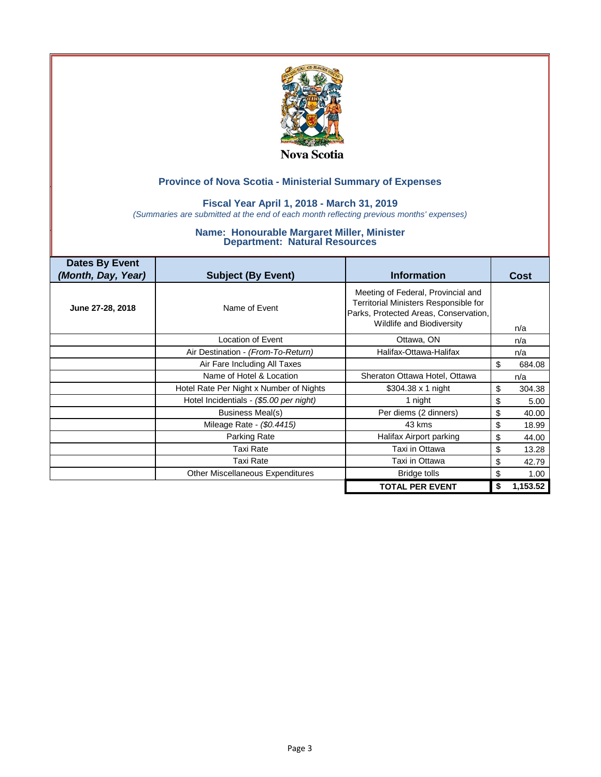

### **Fiscal Year April 1, 2018 - March 31, 2019**

*(Summaries are submitted at the end of each month reflecting previous months' expenses)*

| <b>Dates By Event</b><br>(Month, Day, Year) | <b>Subject (By Event)</b>               | <b>Information</b>                                                                                                                                       | Cost           |
|---------------------------------------------|-----------------------------------------|----------------------------------------------------------------------------------------------------------------------------------------------------------|----------------|
| June 27-28, 2018                            | Name of Event                           | Meeting of Federal, Provincial and<br>Territorial Ministers Responsible for<br>Parks, Protected Areas, Conservation,<br><b>Wildlife and Biodiversity</b> | n/a            |
|                                             | Location of Event                       | Ottawa, ON                                                                                                                                               | n/a            |
|                                             | Air Destination - (From-To-Return)      | Halifax-Ottawa-Halifax                                                                                                                                   | n/a            |
|                                             | Air Fare Including All Taxes            |                                                                                                                                                          | \$<br>684.08   |
|                                             | Name of Hotel & Location                | Sheraton Ottawa Hotel, Ottawa                                                                                                                            | n/a            |
|                                             | Hotel Rate Per Night x Number of Nights | \$304.38 $\times$ 1 night                                                                                                                                | \$<br>304.38   |
|                                             | Hotel Incidentials - (\$5.00 per night) | 1 night                                                                                                                                                  | \$<br>5.00     |
|                                             | Business Meal(s)                        | Per diems (2 dinners)                                                                                                                                    | \$<br>40.00    |
|                                             | Mileage Rate - (\$0.4415)               | 43 kms                                                                                                                                                   | \$<br>18.99    |
|                                             | Parking Rate                            | Halifax Airport parking                                                                                                                                  | \$<br>44.00    |
|                                             | <b>Taxi Rate</b>                        | Taxi in Ottawa                                                                                                                                           | \$<br>13.28    |
|                                             | Taxi Rate                               | Taxi in Ottawa                                                                                                                                           | \$<br>42.79    |
|                                             | Other Miscellaneous Expenditures        | <b>Bridge tolls</b>                                                                                                                                      | \$<br>1.00     |
|                                             |                                         | <b>TOTAL PER EVENT</b>                                                                                                                                   | \$<br>1,153.52 |